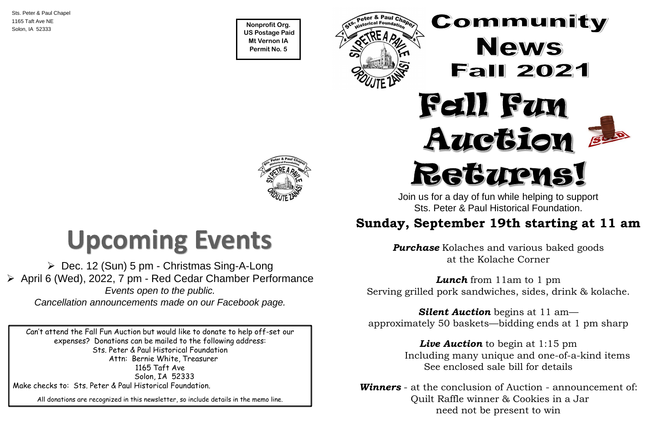**Nonprofit Org. US Postage Paid Mt Vernon IA Permit No. 5**

ster G + aur Cha



Sts. Peter & Paul Chapel 1165 Taft Ave NE Solon, IA 52333

Can't attend the Fall Fun Auction but would like to donate to help off-set our expenses? Donations can be mailed to the following address: Sts. Peter & Paul Historical Foundation Attn: Bernie White, Treasurer 1165 Taft Ave Solon, IA 52333 Make checks to: Sts. Peter & Paul Historical Foundation.

All donations are recognized in this newsletter, so include details in the memo line.



#### ➢ Dec. 12 (Sun) 5 pm - Christmas Sing-A-Long ➢ April 6 (Wed), 2022, 7 pm - Red Cedar Chamber Performance *Events open to the public. Cancellation announcements made on our Facebook page.*

Join us for a day of fun while helping to support Sts. Peter & Paul Historical Foundation.

### **Sunday, September 19th starting at 11 am**

*Purchase* Kolaches and various baked goods at the Kolache Corner

*Lunch* from 11am to 1 pm Serving grilled pork sandwiches, sides, drink & kolache.

*Silent Auction* begins at 11 am approximately 50 baskets—bidding ends at 1 pm sharp

> *Live Auction* to begin at 1:15 pm Including many unique and one-of-a-kind items See enclosed sale bill for details

*Winners* - at the conclusion of Auction - announcement of: Quilt Raffle winner & Cookies in a Jar need not be present to win



# **Upcoming Events**